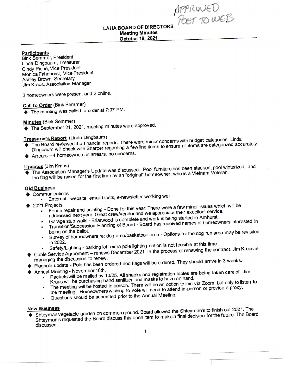APPROUED<br>POST TO WEB

# Meeting Minutes LAHA BOARD OF DIRECTORS

## Participants

**Bink Semmer, President** Linda Dingbaum, Treasurer Cindv Pich6, Vice President Monica Fahnhorst, Vice President Ashley Brown, Secretary Jim Kraus, Association Manager

3 homeowners were present and 2 online'

# Call to Order (Bink Semmer)

 $\blacklozenge$  The meeting was called to order at 7:07 PM.

Minutes (Bink Semmer)

 $\blacklozenge$  The September 21, 2021, meeting minutes were approved.

# Treasurer's Report (Linda Dingbaum)

- The Board reviewed the financial reports. There were minor concerns with budget categories. Linda filters are categorized accurately.<br>Dingbaum will check with Sharper regarding a few line items to ensure all items are categorized accurately.
- Arrears 4 homeowners in arrears, no concerns.

**O putchlightlightlightlift Changer's Update was discussed. Pool furniture has been stacked, pool with The Association Manager's Update was discussed. Pool furniture has been stacked, pool with the flag will be raised for**  $\blacklozenge$  The Association Manager's Update was discussed. Pool furniture has been stacked, pool winterized, and

## Old Business

- **Communications** 
	- External website, email blasts, e-newsletter working well.
- ◆ 2021 Projects
	- Fence repair and painting Done for this year! There were a few minor issues which will be addressed next year. Great crew/vendor and we appreciate their excellent service.
	- addressed next year. Great crew/vendor and we appreciate their exocitors of<br>Garage stub walls Briarwood is complete and work is being started in Amhurst.
	- Transition/Succession Planning of Board Board has received names of homeowners interested in<br>being on the ballot.
	- Survey of homeowners re: dog area/basketball area Options for the dog run area may be revisited<br>in 2022.
	- Safety/Lighting parking lot, extra pole lighting option is not feasible at this time.
- Safety/Lighting parking lot, extra pole lighting option is not reasible at this time.<br>● Cable Service Agreement renews December 2021. In the process of renewing the contract. Jim Kraus is
- managing the discussion to renew.<br>
Flagpole update Pole has been ordered and flags will be ordered. They should arrive in 3-weeks.
- Annual Meeting November 16th.
	- Packets will be mailed by 10/25. All snacks and registration tables are being taken care of. Jim Kraus will be purchasing hand sanitizer and masks to have on hand.
		- Kraus will be purchasing nand samuzer and masks to have entered in the Zoom, but only to listen to<br>The meeting will be hosted in person. There will be an option to join via Zoom, but only to listen to a The The The meeting will be hosted in person. There will be all option to joint the meeting. Homeowners wishing to vote will need to attend in-person or provide a proxy.
		- . Questions should be submitted prior to the Annual Meeting.

### **New Business**

♦ Shteyman vegetable garden on common ground. Board allowed the Shieyman, Shteyman's requested the Board discuss this open item to make a final decision for the future. The Board discussed.